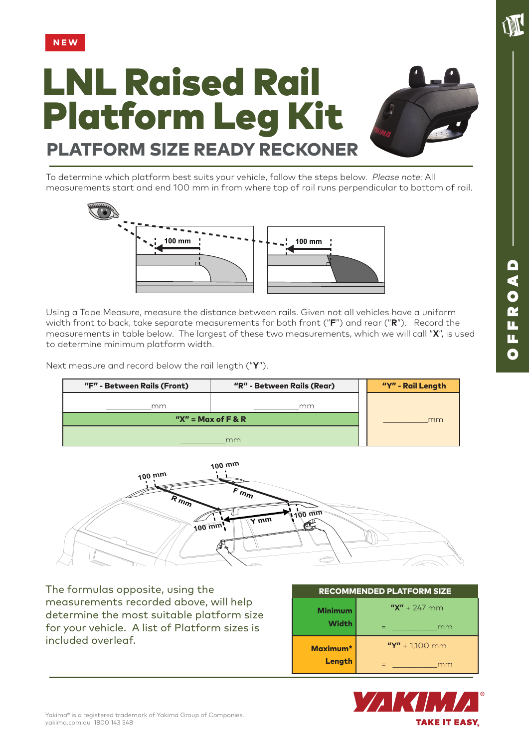

## LNL Raised Rail Platform Leg Kit PLATFORM SIZE READY RECKONER



To determine which platform best suits your vehicle, follow the steps below. *Please note:* All measurements start and end 100 mm in from where top of rail runs perpendicular to bottom of rail.



Using a Tape Measure, measure the distance between rails. Given not all vehicles have a uniform width front to back, take separate measurements for both front ("**F**") and rear ("**R**"). Record the measurements in table below. The largest of these two measurements, which we will call "**X**", is used to determine minimum platform width.

Next measure and record below the rail length ("**Y**").

| "F" - Between Rails (Front) | "R" - Between Rails (Rear) |  | "Y" - Rail Length |
|-----------------------------|----------------------------|--|-------------------|
| mm                          | mm                         |  |                   |
| " $X'' = Max of F & R$      |                            |  | mm                |
|                             | mm                         |  |                   |



The formulas opposite, using the measurements recorded above, will help determine the most suitable platform size for your vehicle. A list of Platform sizes is included overleaf.

| <b>RECOMMENDED PLATFORM SIZE</b> |                    |  |  |  |
|----------------------------------|--------------------|--|--|--|
| <b>Minimum</b><br><b>Width</b>   | $''X'' + 247$ mm   |  |  |  |
|                                  | mm                 |  |  |  |
| Maximum*<br>Length               | $''Y'' + 1,100$ mm |  |  |  |
|                                  | mm                 |  |  |  |



**ANT**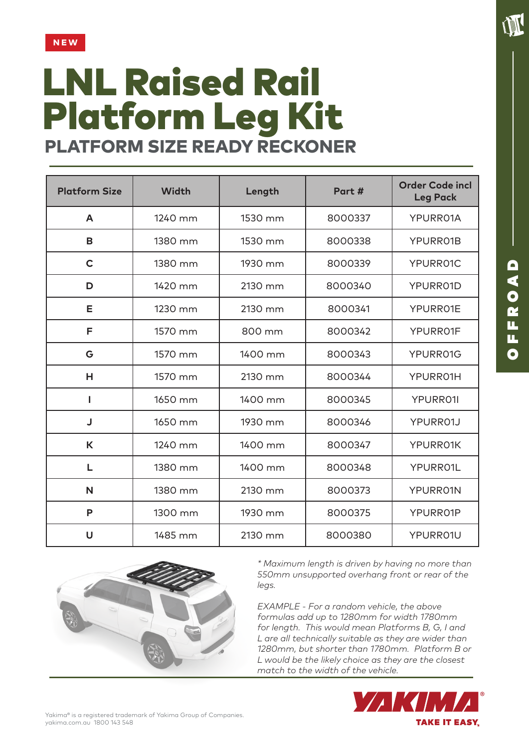

## LNL Raised Rail Platform Leg Kit PLATFORM SIZE READY RECKONER

| <b>Platform Size</b> | <b>Width</b> | Length  | Part #  | <b>Order Code incl</b><br><b>Leg Pack</b> |
|----------------------|--------------|---------|---------|-------------------------------------------|
| A                    | 1240 mm      | 1530 mm | 8000337 | YPURR01A                                  |
| B                    | 1380 mm      | 1530 mm | 8000338 | YPURR01B                                  |
| $\mathbf C$          | 1380 mm      | 1930 mm | 8000339 | YPURR01C                                  |
| D                    | 1420 mm      | 2130 mm | 8000340 | YPURR01D                                  |
| Е                    | 1230 mm      | 2130 mm | 8000341 | YPURR01E                                  |
| F                    | 1570 mm      | 800 mm  | 8000342 | YPURR01F                                  |
| G                    | 1570 mm      | 1400 mm | 8000343 | YPURR01G                                  |
| н                    | 1570 mm      | 2130 mm | 8000344 | YPURRO1H                                  |
|                      | 1650 mm      | 1400 mm | 8000345 | <b>YPURRO1I</b>                           |
| J                    | 1650 mm      | 1930 mm | 8000346 | YPURR01J                                  |
| K                    | 1240 mm      | 1400 mm | 8000347 | YPURR01K                                  |
| L                    | 1380 mm      | 1400 mm | 8000348 | YPURR01L                                  |
| N                    | 1380 mm      | 2130 mm | 8000373 | YPURR01N                                  |
| P                    | 1300 mm      | 1930 mm | 8000375 | YPURR01P                                  |
| U                    | 1485 mm      | 2130 mm | 8000380 | YPURR01U                                  |



*\* Maximum length is driven by having no more than 550mm unsupported overhang front or rear of the legs.*

*EXAMPLE - For a random vehicle, the above formulas add up to 1280mm for width 1780mm for length. This would mean Platforms B, G, I and L are all technically suitable as they are wider than 1280mm, but shorter than 1780mm. Platform B or L would be the likely choice as they are the closest match to the width of the vehicle.* 



**TIME**